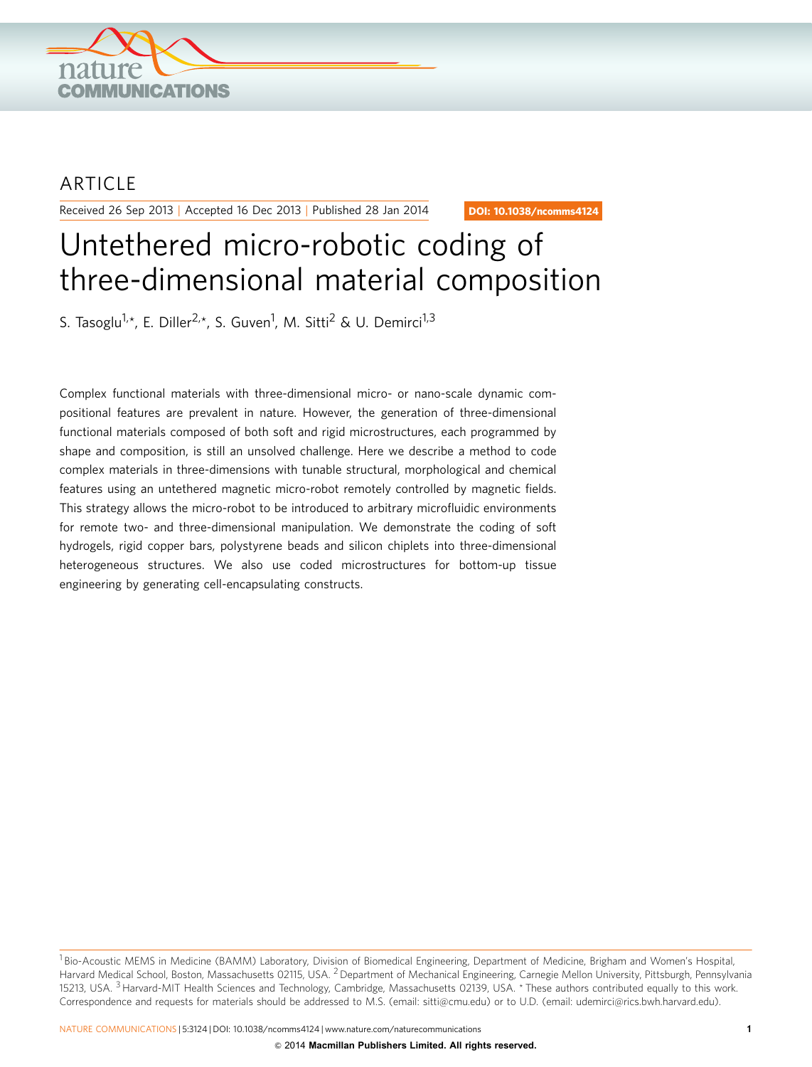

# ARTICLE

Received 26 Sep 2013 | Accepted 16 Dec 2013 | Published 28 Jan 2014

DOI: 10.1038/ncomms4124

# Untethered micro-robotic coding of three-dimensional material composition

S. Tasoglu<sup>1,\*</sup>, E. Diller<sup>2,\*</sup>, S. Guven<sup>1</sup>, M. Sitti<sup>2</sup> & U. Demirci<sup>1,3</sup>

Complex functional materials with three-dimensional micro- or nano-scale dynamic compositional features are prevalent in nature. However, the generation of three-dimensional functional materials composed of both soft and rigid microstructures, each programmed by shape and composition, is still an unsolved challenge. Here we describe a method to code complex materials in three-dimensions with tunable structural, morphological and chemical features using an untethered magnetic micro-robot remotely controlled by magnetic fields. This strategy allows the micro-robot to be introduced to arbitrary microfluidic environments for remote two- and three-dimensional manipulation. We demonstrate the coding of soft hydrogels, rigid copper bars, polystyrene beads and silicon chiplets into three-dimensional heterogeneous structures. We also use coded microstructures for bottom-up tissue engineering by generating cell-encapsulating constructs.

<sup>&</sup>lt;sup>1</sup> Bio-Acoustic MEMS in Medicine (BAMM) Laboratory, Division of Biomedical Engineering, Department of Medicine, Brigham and Women's Hospital, Harvard Medical School, Boston, Massachusetts 02115, USA. <sup>2</sup> Department of Mechanical Engineering, Carnegie Mellon University, Pittsburgh, Pennsylvania 15213, USA. 3Harvard-MIT Health Sciences and Technology, Cambridge, Massachusetts 02139, USA. \* These authors contributed equally to this work. Correspondence and requests for materials should be addressed to M.S. (email: [sitti@cmu.edu\)](mailto:sitti@cmu.edu) or to U.D. (email: [udemirci@rics.bwh.harvard.edu](mailto:udemirci@rics.bwh.harvard.edu)).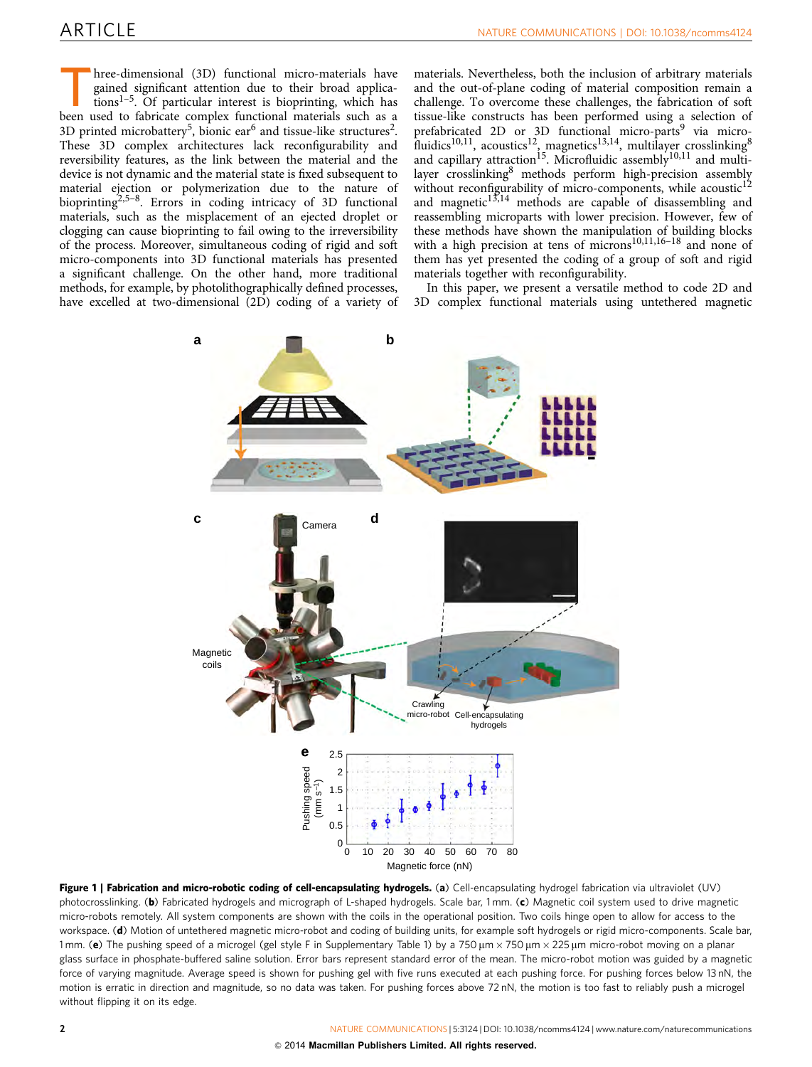<span id="page-1-0"></span>hree-dimensional (3D) functional micro-materials have<br>gained significant attention due to their broad applica-<br>tions<sup>1–5</sup>. Of particular interest is bioprinting, which has<br>heen used to fabricate complex functional material gained significant attention due to their broad applicabeen used to fabricate complex functional materials such as a 3D printed microbattery<sup>5</sup>, bionic ear<sup>[6](#page-7-0)</sup> and tissue-like structures<sup>2</sup>. These 3D complex architectures lack reconfigurability and reversibility features, as the link between the material and the device is not dynamic and the material state is fixed subsequent to material ejection or polymerization due to the nature of bioprinting<sup>2,5–8</sup>. Errors in coding intricacy of 3D functional materials, such as the misplacement of an ejected droplet or clogging can cause bioprinting to fail owing to the irreversibility of the process. Moreover, simultaneous coding of rigid and soft micro-components into 3D functional materials has presented a significant challenge. On the other hand, more traditional methods, for example, by photolithographically defined processes, have excelled at two-dimensional (2D) coding of a variety of

materials. Nevertheless, both the inclusion of arbitrary materials and the out-of-plane coding of material composition remain a challenge. To overcome these challenges, the fabrication of soft tissue-like constructs has been performed using a selection of prefabricated 2D or 3D functional micro-parts<sup>[9](#page-7-0)</sup> via micro-fluidics<sup>[10,11](#page-7-0)</sup>, acoustics<sup>[12](#page-7-0)</sup>, magnetics<sup>[13,14](#page-7-0)</sup>, multilayer crosslinking<sup>8</sup> and capillary attraction<sup>15</sup>. Microfluidic assembly<sup>[10,11](#page-7-0)</sup> and multi-layer crosslinking<sup>[8](#page-7-0)</sup> methods perform high-precision assembly without reconfigurability of micro-components, while acoustic<sup>[12](#page-7-0)</sup> and magnetic $13,14$  methods are capable of disassembling and reassembling microparts with lower precision. However, few of these methods have shown the manipulation of building blocks with a high precision at tens of microns $10,11,16-18$  and none of them has yet presented the coding of a group of soft and rigid materials together with reconfigurability.

In this paper, we present a versatile method to code 2D and 3D complex functional materials using untethered magnetic



Figure 1 | Fabrication and micro-robotic coding of cell-encapsulating hydrogels. (a) Cell-encapsulating hydrogel fabrication via ultraviolet (UV) photocrosslinking. (b) Fabricated hydrogels and micrograph of L-shaped hydrogels. Scale bar, 1 mm. (c) Magnetic coil system used to drive magnetic micro-robots remotely. All system components are shown with the coils in the operational position. Two coils hinge open to allow for access to the workspace. (d) Motion of untethered magnetic micro-robot and coding of building units, for example soft hydrogels or rigid micro-components. Scale bar, 1 mm. (e) The pushing speed of a microgel (gel style F in Supplementary Table 1) by a 750 µm  $\times$  750 µm  $\times$  225 µm micro-robot moving on a planar glass surface in phosphate-buffered saline solution. Error bars represent standard error of the mean. The micro-robot motion was guided by a magnetic force of varying magnitude. Average speed is shown for pushing gel with five runs executed at each pushing force. For pushing forces below 13 nN, the motion is erratic in direction and magnitude, so no data was taken. For pushing forces above 72 nN, the motion is too fast to reliably push a microgel without flipping it on its edge.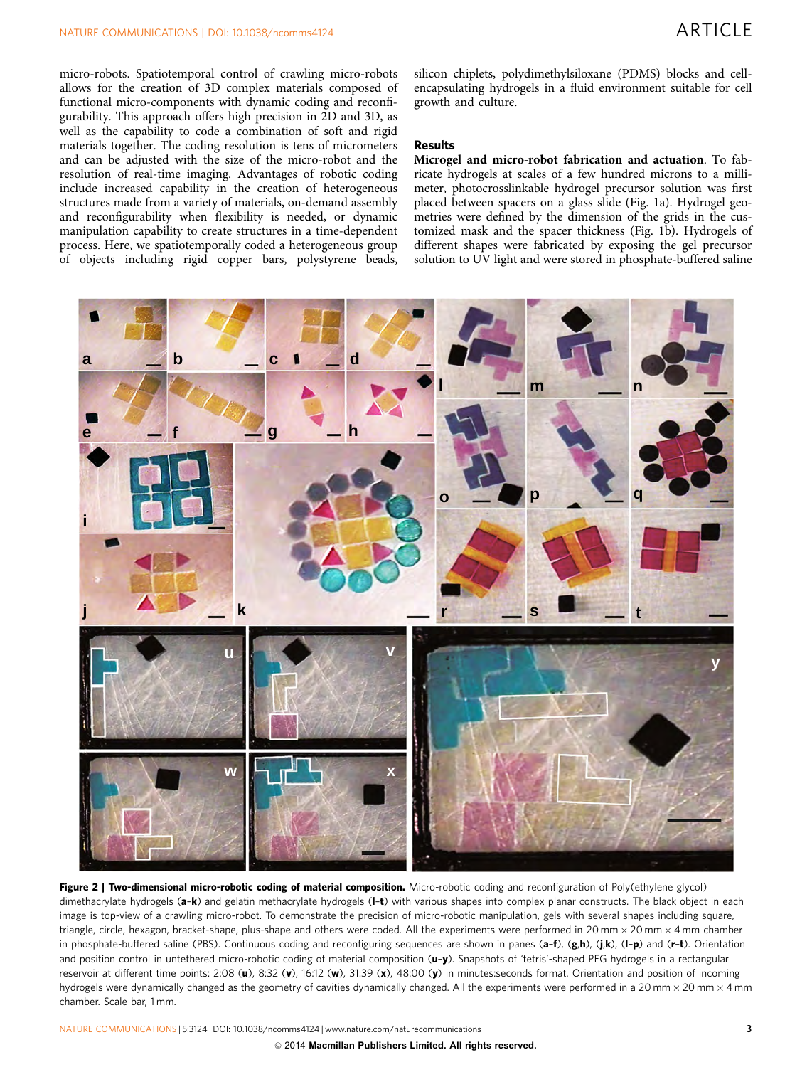<span id="page-2-0"></span>micro-robots. Spatiotemporal control of crawling micro-robots allows for the creation of 3D complex materials composed of functional micro-components with dynamic coding and reconfigurability. This approach offers high precision in 2D and 3D, as well as the capability to code a combination of soft and rigid materials together. The coding resolution is tens of micrometers and can be adjusted with the size of the micro-robot and the resolution of real-time imaging. Advantages of robotic coding include increased capability in the creation of heterogeneous structures made from a variety of materials, on-demand assembly and reconfigurability when flexibility is needed, or dynamic manipulation capability to create structures in a time-dependent process. Here, we spatiotemporally coded a heterogeneous group of objects including rigid copper bars, polystyrene beads, silicon chiplets, polydimethylsiloxane (PDMS) blocks and cellencapsulating hydrogels in a fluid environment suitable for cell growth and culture.

### Results

Microgel and micro-robot fabrication and actuation. To fabricate hydrogels at scales of a few hundred microns to a millimeter, photocrosslinkable hydrogel precursor solution was first placed between spacers on a glass slide [\(Fig. 1a\)](#page-1-0). Hydrogel geometries were defined by the dimension of the grids in the customized mask and the spacer thickness [\(Fig. 1b](#page-1-0)). Hydrogels of different shapes were fabricated by exposing the gel precursor solution to UV light and were stored in phosphate-buffered saline



Figure 2 | Two-dimensional micro-robotic coding of material composition. Micro-robotic coding and reconfiguration of Poly(ethylene glycol) dimethacrylate hydrogels (a-k) and gelatin methacrylate hydrogels (I-t) with various shapes into complex planar constructs. The black object in each image is top-view of a crawling micro-robot. To demonstrate the precision of micro-robotic manipulation, gels with several shapes including square, triangle, circle, hexagon, bracket-shape, plus-shape and others were coded. All the experiments were performed in 20 mm  $\times$  20 mm  $\times$  4 mm chamber in phosphate-buffered saline (PBS). Continuous coding and reconfiguring sequences are shown in panes (a-f), (g,h), (j,k), (l-p) and (r-t). Orientation and position control in untethered micro-robotic coding of material composition (u-y). Snapshots of 'tetris'-shaped PEG hydrogels in a rectangular reservoir at different time points: 2:08 (u), 8:32 (v), 16:12 (w), 31:39 (x), 48:00 (y) in minutes:seconds format. Orientation and position of incoming hydrogels were dynamically changed as the geometry of cavities dynamically changed. All the experiments were performed in a 20 mm  $\times$  20 mm  $\times$  4 mm chamber. Scale bar, 1 mm.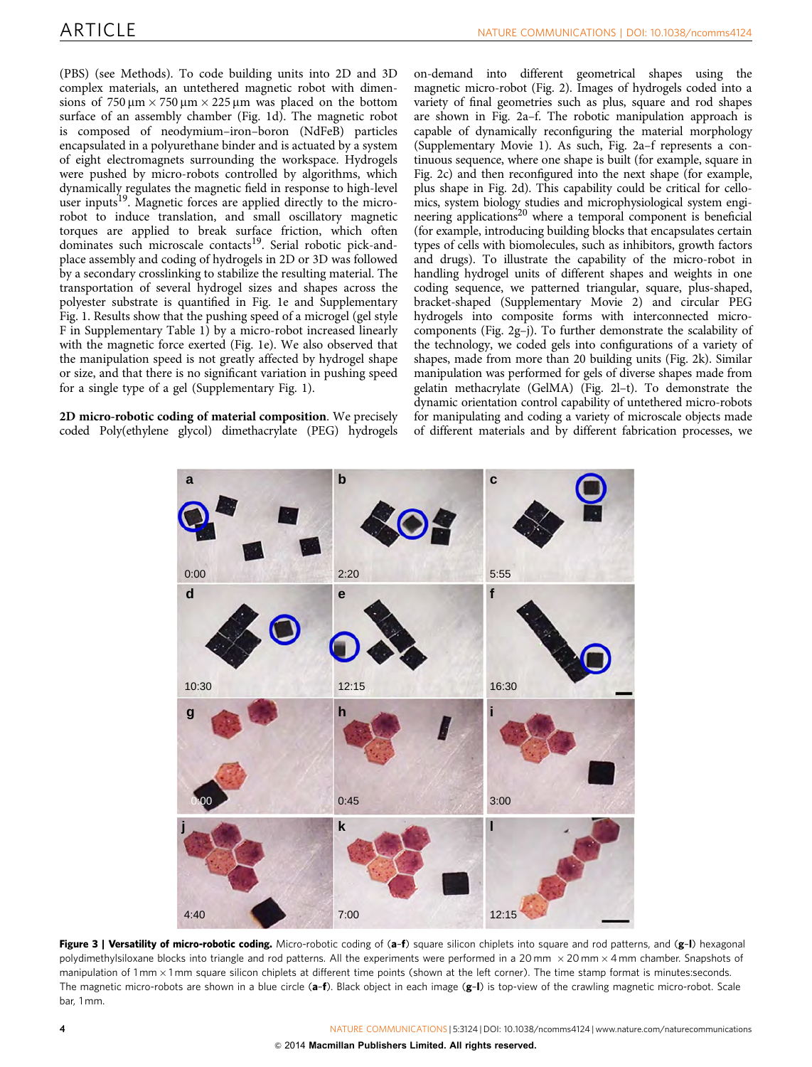<span id="page-3-0"></span>(PBS) (see Methods). To code building units into 2D and 3D complex materials, an untethered magnetic robot with dimensions of 750  $\mu$ m  $\times$  750  $\mu$ m  $\times$  225  $\mu$ m was placed on the bottom surface of an assembly chamber [\(Fig. 1d\)](#page-1-0). The magnetic robot is composed of neodymium–iron–boron (NdFeB) particles encapsulated in a polyurethane binder and is actuated by a system of eight electromagnets surrounding the workspace. Hydrogels were pushed by micro-robots controlled by algorithms, which dynamically regulates the magnetic field in response to high-level user inputs<sup>19</sup>. Magnetic forces are applied directly to the microrobot to induce translation, and small oscillatory magnetic torques are applied to break surface friction, which often dominates such microscale contacts<sup>19</sup>. Serial robotic pick-andplace assembly and coding of hydrogels in 2D or 3D was followed by a secondary crosslinking to stabilize the resulting material. The transportation of several hydrogel sizes and shapes across the polyester substrate is quantified in [Fig. 1e](#page-1-0) and Supplementary Fig. 1. Results show that the pushing speed of a microgel (gel style F in Supplementary Table 1) by a micro-robot increased linearly with the magnetic force exerted [\(Fig. 1e\)](#page-1-0). We also observed that the manipulation speed is not greatly affected by hydrogel shape or size, and that there is no significant variation in pushing speed for a single type of a gel (Supplementary Fig. 1).

2D micro-robotic coding of material composition. We precisely coded Poly(ethylene glycol) dimethacrylate (PEG) hydrogels

on-demand into different geometrical shapes using the magnetic micro-robot [\(Fig. 2\)](#page-2-0). Images of hydrogels coded into a variety of final geometries such as plus, square and rod shapes are shown in [Fig. 2a–f.](#page-2-0) The robotic manipulation approach is capable of dynamically reconfiguring the material morphology (Supplementary Movie 1). As such, [Fig. 2a–f](#page-2-0) represents a continuous sequence, where one shape is built (for example, square in [Fig. 2c\)](#page-2-0) and then reconfigured into the next shape (for example, plus shape in [Fig. 2d\)](#page-2-0). This capability could be critical for cellomics, system biology studies and microphysiological system engi-neering applications<sup>[20](#page-7-0)</sup> where a temporal component is beneficial (for example, introducing building blocks that encapsulates certain types of cells with biomolecules, such as inhibitors, growth factors and drugs). To illustrate the capability of the micro-robot in handling hydrogel units of different shapes and weights in one coding sequence, we patterned triangular, square, plus-shaped, bracket-shaped (Supplementary Movie 2) and circular PEG hydrogels into composite forms with interconnected microcomponents ([Fig. 2g–j](#page-2-0)). To further demonstrate the scalability of the technology, we coded gels into configurations of a variety of shapes, made from more than 20 building units [\(Fig. 2k\)](#page-2-0). Similar manipulation was performed for gels of diverse shapes made from gelatin methacrylate (GelMA) [\(Fig. 2l–t](#page-2-0)). To demonstrate the dynamic orientation control capability of untethered micro-robots for manipulating and coding a variety of microscale objects made of different materials and by different fabrication processes, we



Figure 3 | Versatility of micro-robotic coding. Micro-robotic coding of (a-f) square silicon chiplets into square and rod patterns, and (g-I) hexagonal polydimethylsiloxane blocks into triangle and rod patterns. All the experiments were performed in a 20 mm  $\times$  20 mm  $\times$  4 mm chamber. Snapshots of manipulation of 1mm  $\times$ 1mm square silicon chiplets at different time points (shown at the left corner). The time stamp format is minutes:seconds. The magnetic micro-robots are shown in a blue circle  $(a-f)$ . Black object in each image  $(g-l)$  is top-view of the crawling magnetic micro-robot. Scale bar, 1 mm.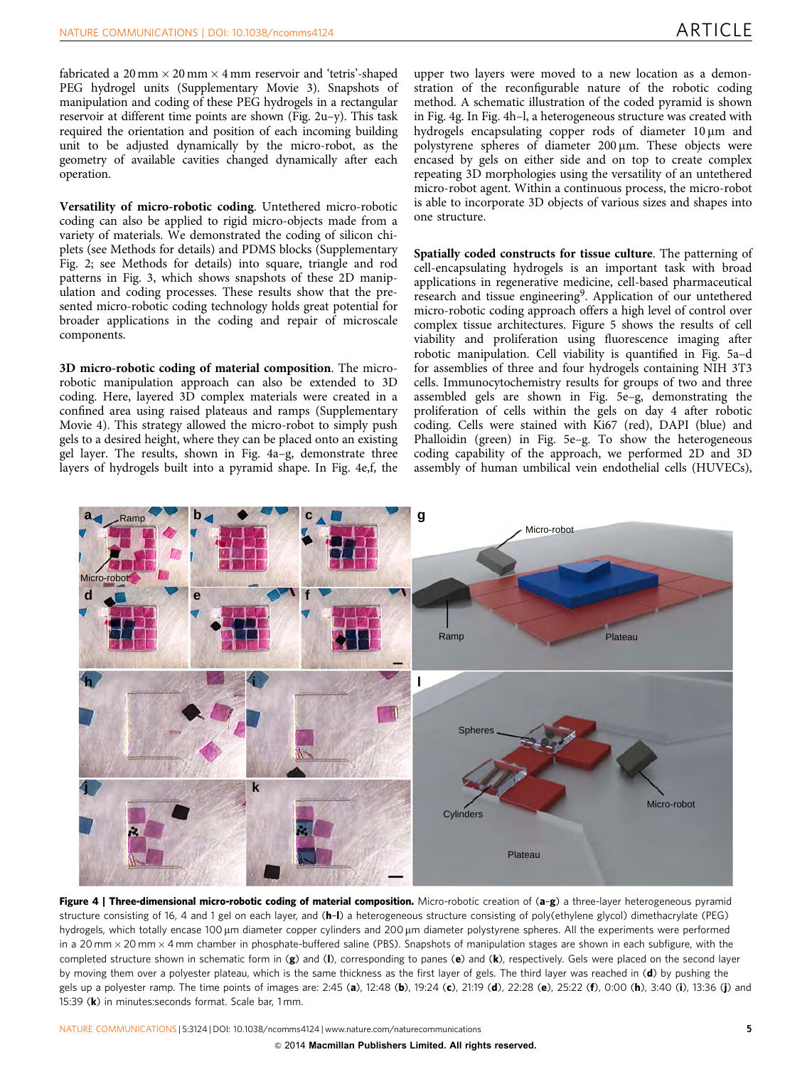fabricated a 20 mm  $\times$  20 mm  $\times$  4 mm reservoir and 'tetris'-shaped PEG hydrogel units (Supplementary Movie 3). Snapshots of manipulation and coding of these PEG hydrogels in a rectangular reservoir at different time points are shown [\(Fig. 2u–y](#page-2-0)). This task required the orientation and position of each incoming building unit to be adjusted dynamically by the micro-robot, as the geometry of available cavities changed dynamically after each operation.

Versatility of micro-robotic coding. Untethered micro-robotic coding can also be applied to rigid micro-objects made from a variety of materials. We demonstrated the coding of silicon chiplets (see Methods for details) and PDMS blocks (Supplementary Fig. 2; see Methods for details) into square, triangle and rod patterns in [Fig. 3](#page-3-0), which shows snapshots of these 2D manipulation and coding processes. These results show that the presented micro-robotic coding technology holds great potential for broader applications in the coding and repair of microscale components.

3D micro-robotic coding of material composition. The microrobotic manipulation approach can also be extended to 3D coding. Here, layered 3D complex materials were created in a confined area using raised plateaus and ramps (Supplementary Movie 4). This strategy allowed the micro-robot to simply push gels to a desired height, where they can be placed onto an existing gel layer. The results, shown in Fig. 4a–g, demonstrate three layers of hydrogels built into a pyramid shape. In Fig. 4e,f, the

upper two layers were moved to a new location as a demonstration of the reconfigurable nature of the robotic coding method. A schematic illustration of the coded pyramid is shown in Fig. 4g. In Fig. 4h–l, a heterogeneous structure was created with hydrogels encapsulating copper rods of diameter 10  $\mu$ m and polystyrene spheres of diameter 200 µm. These objects were encased by gels on either side and on top to create complex repeating 3D morphologies using the versatility of an untethered micro-robot agent. Within a continuous process, the micro-robot is able to incorporate 3D objects of various sizes and shapes into one structure.

Spatially coded constructs for tissue culture. The patterning of cell-encapsulating hydrogels is an important task with broad applications in regenerative medicine, cell-based pharmaceutical research and tissue engineering<sup>[9](#page-7-0)</sup>. Application of our untethered micro-robotic coding approach offers a high level of control over complex tissue architectures. [Figure 5](#page-5-0) shows the results of cell viability and proliferation using fluorescence imaging after robotic manipulation. Cell viability is quantified in [Fig. 5a–d](#page-5-0) for assemblies of three and four hydrogels containing NIH 3T3 cells. Immunocytochemistry results for groups of two and three assembled gels are shown in [Fig. 5e–g,](#page-5-0) demonstrating the proliferation of cells within the gels on day 4 after robotic coding. Cells were stained with Ki67 (red), DAPI (blue) and Phalloidin (green) in [Fig. 5e–g](#page-5-0). To show the heterogeneous coding capability of the approach, we performed 2D and 3D assembly of human umbilical vein endothelial cells (HUVECs),



Figure 4 | Three-dimensional micro-robotic coding of material composition. Micro-robotic creation of (a-g) a three-layer heterogeneous pyramid structure consisting of 16, 4 and 1 gel on each layer, and (h-I) a heterogeneous structure consisting of poly(ethylene glycol) dimethacrylate (PEG) hydrogels, which totally encase 100 µm diameter copper cylinders and 200 µm diameter polystyrene spheres. All the experiments were performed in a 20 mm  $\times$  20 mm  $\times$  4 mm chamber in phosphate-buffered saline (PBS). Snapshots of manipulation stages are shown in each subfigure, with the completed structure shown in schematic form in  $(g)$  and (I), corresponding to panes (e) and (k), respectively. Gels were placed on the second layer by moving them over a polyester plateau, which is the same thickness as the first layer of gels. The third layer was reached in (d) by pushing the gels up a polyester ramp. The time points of images are: 2:45 (a), 12:48 (b), 19:24 (c), 21:19 (d), 22:28 (e), 25:22 (f), 0:00 (h), 3:40 (i), 13:36 (j) and 15:39 (k) in minutes:seconds format. Scale bar, 1 mm.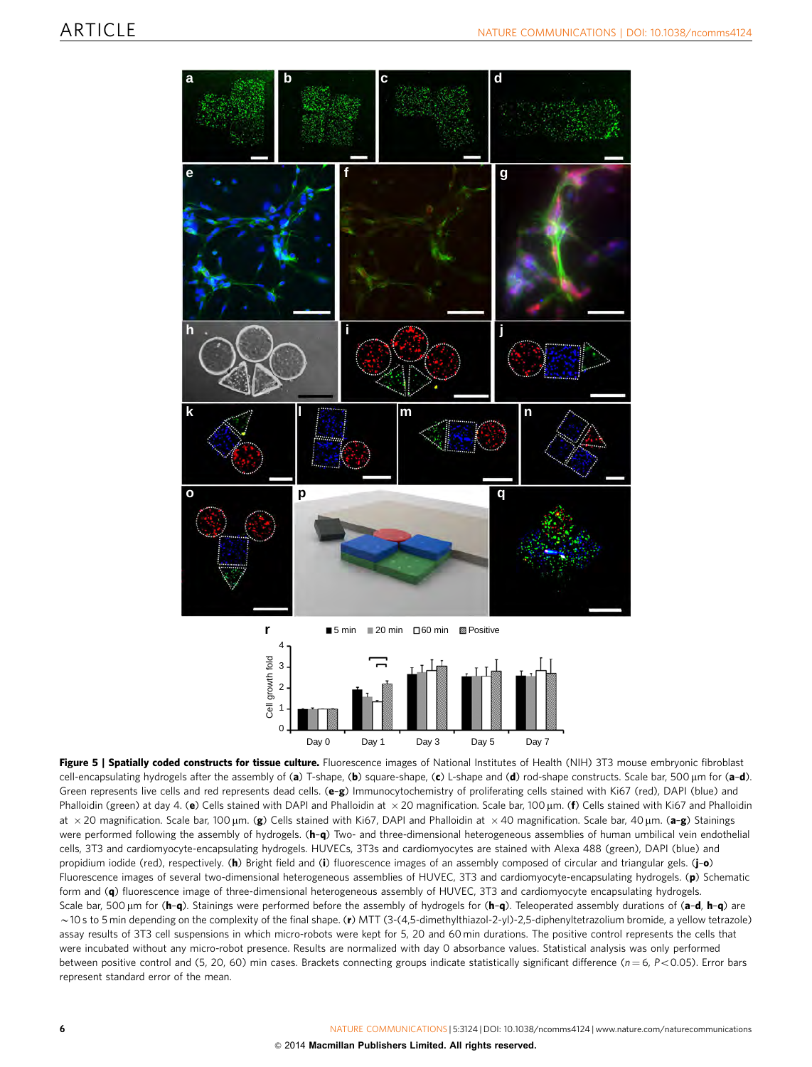<span id="page-5-0"></span>

Figure 5 | Spatially coded constructs for tissue culture. Fluorescence images of National Institutes of Health (NIH) 3T3 mouse embryonic fibroblast cell-encapsulating hydrogels after the assembly of (a) T-shape, (b) square-shape, (c) L-shape and (d) rod-shape constructs. Scale bar, 500  $\mu$ m for (a-d). Green represents live cells and red represents dead cells. (e-g) Immunocytochemistry of proliferating cells stained with Ki67 (red), DAPI (blue) and Phalloidin (green) at day 4. (e) Cells stained with DAPI and Phalloidin at  $\times$  20 magnification. Scale bar, 100 µm. (f) Cells stained with Ki67 and Phalloidin at ×20 magnification. Scale bar, 100 μm. (**g**) Cells stained with Ki67, DAPI and Phalloidin at ×40 magnification. Scale bar, 40 μm. (**a-g**) Stainings were performed following the assembly of hydrogels. (h-q) Two- and three-dimensional heterogeneous assemblies of human umbilical vein endothelial cells, 3T3 and cardiomyocyte-encapsulating hydrogels. HUVECs, 3T3s and cardiomyocytes are stained with Alexa 488 (green), DAPI (blue) and propidium iodide (red), respectively. (h) Bright field and (i) fluorescence images of an assembly composed of circular and triangular gels. (j-o) Fluorescence images of several two-dimensional heterogeneous assemblies of HUVEC, 3T3 and cardiomyocyte-encapsulating hydrogels. (p) Schematic form and (q) fluorescence image of three-dimensional heterogeneous assembly of HUVEC, 3T3 and cardiomyocyte encapsulating hydrogels. Scale bar, 500  $\mu$ m for (h–q). Stainings were performed before the assembly of hydrogels for (h–q). Teleoperated assembly durations of (a-d, h–q) are  $\sim$  10 s to 5 min depending on the complexity of the final shape. (r) MTT (3-(4,5-dimethylthiazol-2-yl)-2,5-diphenyltetrazolium bromide, a yellow tetrazole) assay results of 3T3 cell suspensions in which micro-robots were kept for 5, 20 and 60 min durations. The positive control represents the cells that were incubated without any micro-robot presence. Results are normalized with day 0 absorbance values. Statistical analysis was only performed between positive control and (5, 20, 60) min cases. Brackets connecting groups indicate statistically significant difference ( $n = 6$ ,  $P < 0.05$ ). Error bars represent standard error of the mean.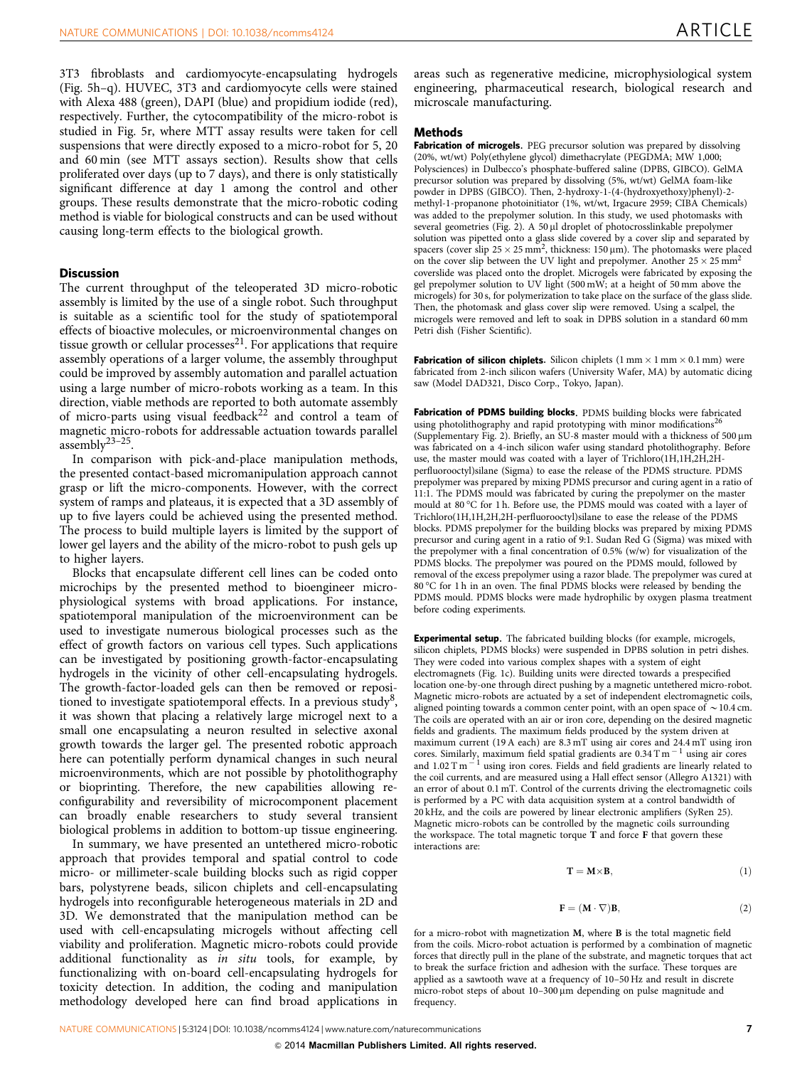3T3 fibroblasts and cardiomyocyte-encapsulating hydrogels ([Fig. 5h–q](#page-5-0)). HUVEC, 3T3 and cardiomyocyte cells were stained with Alexa 488 (green), DAPI (blue) and propidium iodide (red), respectively. Further, the cytocompatibility of the micro-robot is studied in [Fig. 5r](#page-5-0), where MTT assay results were taken for cell suspensions that were directly exposed to a micro-robot for 5, 20 and 60 min (see MTT assays section). Results show that cells proliferated over days (up to 7 days), and there is only statistically significant difference at day 1 among the control and other groups. These results demonstrate that the micro-robotic coding method is viable for biological constructs and can be used without causing long-term effects to the biological growth.

# **Discussion**

The current throughput of the teleoperated 3D micro-robotic assembly is limited by the use of a single robot. Such throughput is suitable as a scientific tool for the study of spatiotemporal effects of bioactive molecules, or microenvironmental changes on tissue growth or cellular processes $^{21}$  $^{21}$  $^{21}$ . For applications that require assembly operations of a larger volume, the assembly throughput could be improved by assembly automation and parallel actuation using a large number of micro-robots working as a team. In this direction, viable methods are reported to both automate assembly of micro-parts using visual feedback<sup>[22](#page-7-0)</sup> and control a team of magnetic micro-robots for addressable actuation towards parallel assembly $23-25$ .

In comparison with pick-and-place manipulation methods, the presented contact-based micromanipulation approach cannot grasp or lift the micro-components. However, with the correct system of ramps and plateaus, it is expected that a 3D assembly of up to five layers could be achieved using the presented method. The process to build multiple layers is limited by the support of lower gel layers and the ability of the micro-robot to push gels up to higher layers.

Blocks that encapsulate different cell lines can be coded onto microchips by the presented method to bioengineer microphysiological systems with broad applications. For instance, spatiotemporal manipulation of the microenvironment can be used to investigate numerous biological processes such as the effect of growth factors on various cell types. Such applications can be investigated by positioning growth-factor-encapsulating hydrogels in the vicinity of other cell-encapsulating hydrogels. The growth-factor-loaded gels can then be removed or repositioned to investigate spatiotemporal effects. In a previous study<sup>8</sup>, it was shown that placing a relatively large microgel next to a small one encapsulating a neuron resulted in selective axonal growth towards the larger gel. The presented robotic approach here can potentially perform dynamical changes in such neural microenvironments, which are not possible by photolithography or bioprinting. Therefore, the new capabilities allowing reconfigurability and reversibility of microcomponent placement can broadly enable researchers to study several transient biological problems in addition to bottom-up tissue engineering.

In summary, we have presented an untethered micro-robotic approach that provides temporal and spatial control to code micro- or millimeter-scale building blocks such as rigid copper bars, polystyrene beads, silicon chiplets and cell-encapsulating hydrogels into reconfigurable heterogeneous materials in 2D and 3D. We demonstrated that the manipulation method can be used with cell-encapsulating microgels without affecting cell viability and proliferation. Magnetic micro-robots could provide additional functionality as in situ tools, for example, by functionalizing with on-board cell-encapsulating hydrogels for toxicity detection. In addition, the coding and manipulation methodology developed here can find broad applications in areas such as regenerative medicine, microphysiological system engineering, pharmaceutical research, biological research and microscale manufacturing.

#### **Methods**

Fabrication of microgels. PEG precursor solution was prepared by dissolving (20%, wt/wt) Poly(ethylene glycol) dimethacrylate (PEGDMA; MW 1,000; Polysciences) in Dulbecco's phosphate-buffered saline (DPBS, GIBCO). GelMA precursor solution was prepared by dissolving (5%, wt/wt) GelMA foam-like powder in DPBS (GIBCO). Then, 2-hydroxy-1-(4-(hydroxyethoxy)phenyl)-2 methyl-1-propanone photoinitiator (1%, wt/wt, Irgacure 2959; CIBA Chemicals) was added to the prepolymer solution. In this study, we used photomasks with several geometries ([Fig. 2\)](#page-2-0). A 50 µl droplet of photocrosslinkable prepolymer solution was pipetted onto a glass slide covered by a cover slip and separated by spacers (cover slip  $25 \times 25$  mm<sup>2</sup>, thickness: 150 µm). The photomasks were placed on the cover slip between the UV light and prepolymer. Another  $25 \times 25$  mm<sup>2</sup> coverslide was placed onto the droplet. Microgels were fabricated by exposing the gel prepolymer solution to UV light (500 mW; at a height of 50 mm above the microgels) for 30 s, for polymerization to take place on the surface of the glass slide. Then, the photomask and glass cover slip were removed. Using a scalpel, the microgels were removed and left to soak in DPBS solution in a standard 60 mm Petri dish (Fisher Scientific).

**Fabrication of silicon chiplets.** Silicon chiplets  $(1 \text{ mm} \times 1 \text{ mm} \times 0.1 \text{ mm})$  were fabricated from 2-inch silicon wafers (University Wafer, MA) by automatic dicing saw (Model DAD321, Disco Corp., Tokyo, Japan).

Fabrication of PDMS building blocks. PDMS building blocks were fabricated using photolithography and rapid prototyping with minor modifications<sup>[26](#page-8-0)</sup> (Supplementary Fig. 2). Briefly, an SU-8 master mould with a thickness of 500  $\mu$ m was fabricated on a 4-inch silicon wafer using standard photolithography. Before use, the master mould was coated with a layer of Trichloro(1H,1H,2H,2Hperfluorooctyl)silane (Sigma) to ease the release of the PDMS structure. PDMS prepolymer was prepared by mixing PDMS precursor and curing agent in a ratio of 11:1. The PDMS mould was fabricated by curing the prepolymer on the master mould at 80 °C for 1 h. Before use, the PDMS mould was coated with a layer of Trichloro(1H,1H,2H,2H-perfluorooctyl)silane to ease the release of the PDMS blocks. PDMS prepolymer for the building blocks was prepared by mixing PDMS precursor and curing agent in a ratio of 9:1. Sudan Red G (Sigma) was mixed with the prepolymer with a final concentration of 0.5% (w/w) for visualization of the PDMS blocks. The prepolymer was poured on the PDMS mould, followed by removal of the excess prepolymer using a razor blade. The prepolymer was cured at 80 °C for 1 h in an oven. The final PDMS blocks were released by bending the PDMS mould. PDMS blocks were made hydrophilic by oxygen plasma treatment before coding experiments.

Experimental setup. The fabricated building blocks (for example, microgels, silicon chiplets, PDMS blocks) were suspended in DPBS solution in petri dishes. They were coded into various complex shapes with a system of eight electromagnets ([Fig. 1c\)](#page-1-0). Building units were directed towards a prespecified location one-by-one through direct pushing by a magnetic untethered micro-robot. Magnetic micro-robots are actuated by a set of independent electromagnetic coils, aligned pointing towards a common center point, with an open space of  $\sim$  10.4 cm. The coils are operated with an air or iron core, depending on the desired magnetic fields and gradients. The maximum fields produced by the system driven at maximum current (19 A each) are 8.3 mT using air cores and 24.4 mT using iron cores. Similarly, maximum field spatial gradients are  $0.34$  T m $^{-1}$  using air cores and  $1.02$  T m<sup>-1</sup> using iron cores. Fields and field gradients are linearly related to the coil currents, and are measured using a Hall effect sensor (Allegro A1321) with an error of about 0.1 mT. Control of the currents driving the electromagnetic coils is performed by a PC with data acquisition system at a control bandwidth of 20 kHz, and the coils are powered by linear electronic amplifiers (SyRen 25). Magnetic micro-robots can be controlled by the magnetic coils surrounding the workspace. The total magnetic torque T and force F that govern these interactions are:

$$
\mathbf{T} = \mathbf{M} \times \mathbf{B},\tag{1}
$$

$$
\mathbf{F} = (\mathbf{M} \cdot \nabla)\mathbf{B},\tag{2}
$$

for a micro-robot with magnetization M, where B is the total magnetic field from the coils. Micro-robot actuation is performed by a combination of magnetic forces that directly pull in the plane of the substrate, and magnetic torques that act to break the surface friction and adhesion with the surface. These torques are applied as a sawtooth wave at a frequency of 10–50 Hz and result in discrete micro-robot steps of about 10-300 µm depending on pulse magnitude and frequency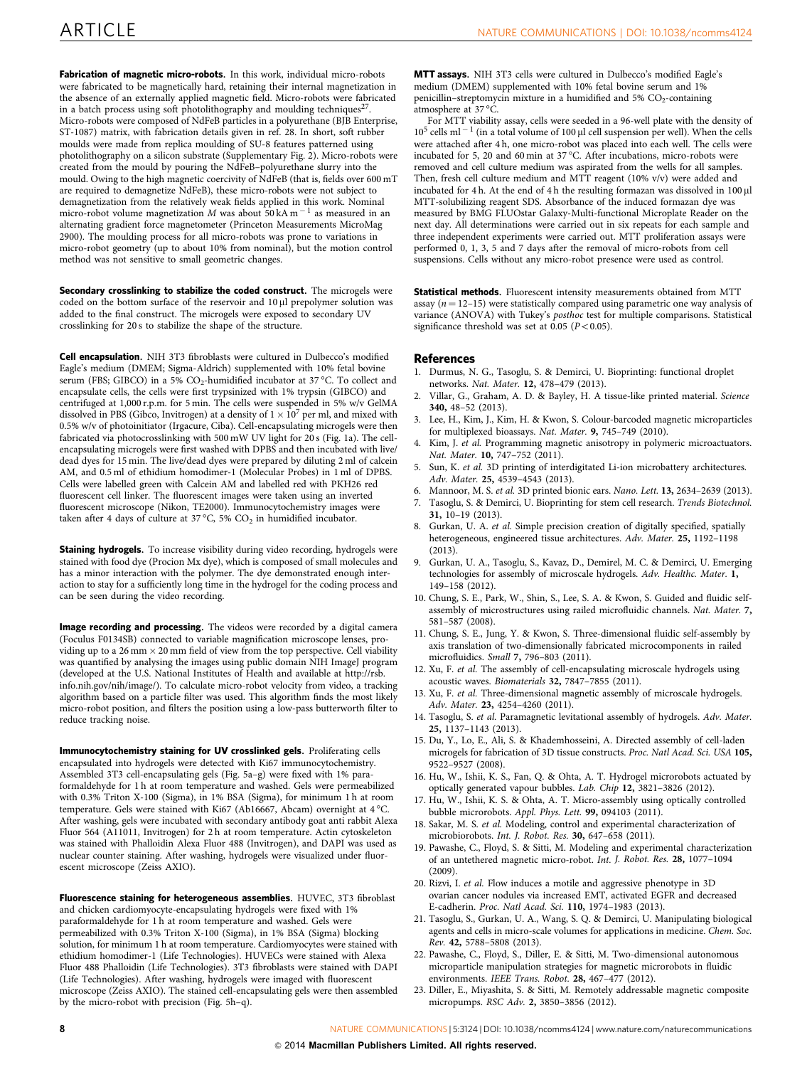<span id="page-7-0"></span>Fabrication of magnetic micro-robots. In this work, individual micro-robots were fabricated to be magnetically hard, retaining their internal magnetization in the absence of an externally applied magnetic field. Micro-robots were fabricated in a batch process using soft photolithography and moulding techniques<sup>27</sup>. Micro-robots were composed of NdFeB particles in a polyurethane (BJB Enterprise, ST-1087) matrix, with fabrication details given in [ref. 28.](#page-8-0) In short, soft rubber moulds were made from replica moulding of SU-8 features patterned using photolithography on a silicon substrate (Supplementary Fig. 2). Micro-robots were created from the mould by pouring the NdFeB–polyurethane slurry into the mould. Owing to the high magnetic coercivity of NdFeB (that is, fields over 600 mT are required to demagnetize NdFeB), these micro-robots were not subject to demagnetization from the relatively weak fields applied in this work. Nominal micro-robot volume magnetization M was about 50 kA m<sup>-1</sup> as measured in an alternating gradient force magnetometer (Princeton Measurements MicroMag 2900). The moulding process for all micro-robots was prone to variations in micro-robot geometry (up to about 10% from nominal), but the motion control method was not sensitive to small geometric changes.

Secondary crosslinking to stabilize the coded construct. The microgels were coded on the bottom surface of the reservoir and  $10 \mu l$  prepolymer solution was added to the final construct. The microgels were exposed to secondary UV crosslinking for 20 s to stabilize the shape of the structure.

Cell encapsulation. NIH 3T3 fibroblasts were cultured in Dulbecco's modified Eagle's medium (DMEM; Sigma-Aldrich) supplemented with 10% fetal bovine serum (FBS; GIBCO) in a 5%  $CO_2$ -humidified incubator at 37 °C. To collect and encapsulate cells, the cells were first trypsinized with 1% trypsin (GIBCO) and centrifuged at 1,000 r.p.m. for 5 min. The cells were suspended in 5% w/v GelMA dissolved in PBS (Gibco, Invitrogen) at a density of  $1\times10^7$  per ml, and mixed with 0.5% w/v of photoinitiator (Irgacure, Ciba). Cell-encapsulating microgels were then fabricated via photocrosslinking with 500 mW UV light for 20 s [\(Fig. 1a\)](#page-1-0). The cellencapsulating microgels were first washed with DPBS and then incubated with live/ dead dyes for 15 min. The live/dead dyes were prepared by diluting 2 ml of calcein AM, and 0.5 ml of ethidium homodimer-1 (Molecular Probes) in 1 ml of DPBS. Cells were labelled green with Calcein AM and labelled red with PKH26 red fluorescent cell linker. The fluorescent images were taken using an inverted fluorescent microscope (Nikon, TE2000). Immunocytochemistry images were taken after 4 days of culture at 37 °C, 5%  $CO<sub>2</sub>$  in humidified incubator.

Staining hydrogels. To increase visibility during video recording, hydrogels were stained with food dye (Procion Mx dye), which is composed of small molecules and has a minor interaction with the polymer. The dye demonstrated enough interaction to stay for a sufficiently long time in the hydrogel for the coding process and can be seen during the video recording.

Image recording and processing. The videos were recorded by a digital camera (Foculus F0134SB) connected to variable magnification microscope lenses, providing up to a 26 mm  $\times$  20 mm field of view from the top perspective. Cell viability was quantified by analysing the images using public domain NIH ImageJ program (developed at the U.S. National Institutes of Health and available at [http://rsb.](http://rsb.info.nih.gov/nih/image/) [info.nih.gov/nih/image/](http://rsb.info.nih.gov/nih/image/)). To calculate micro-robot velocity from video, a tracking algorithm based on a particle filter was used. This algorithm finds the most likely micro-robot position, and filters the position using a low-pass butterworth filter to reduce tracking noise.

Immunocytochemistry staining for UV crosslinked gels. Proliferating cells encapsulated into hydrogels were detected with Ki67 immunocytochemistry. Assembled 3T3 cell-encapsulating gels ([Fig. 5a–g](#page-5-0)) were fixed with 1% paraformaldehyde for 1 h at room temperature and washed. Gels were permeabilized with 0.3% Triton X-100 (Sigma), in 1% BSA (Sigma), for minimum 1 h at room temperature. Gels were stained with Ki67 (Ab16667, Abcam) overnight at 4 °C. After washing, gels were incubated with secondary antibody goat anti rabbit Alexa Fluor 564 (A11011, Invitrogen) for 2 h at room temperature. Actin cytoskeleton was stained with Phalloidin Alexa Fluor 488 (Invitrogen), and DAPI was used as nuclear counter staining. After washing, hydrogels were visualized under fluorescent microscope (Zeiss AXIO).

Fluorescence staining for heterogeneous assemblies. HUVEC, 3T3 fibroblast and chicken cardiomyocyte-encapsulating hydrogels were fixed with 1% paraformaldehyde for 1 h at room temperature and washed. Gels were permeabilized with 0.3% Triton X-100 (Sigma), in 1% BSA (Sigma) blocking solution, for minimum 1 h at room temperature. Cardiomyocytes were stained with ethidium homodimer-1 (Life Technologies). HUVECs were stained with Alexa Fluor 488 Phalloidin (Life Technologies). 3T3 fibroblasts were stained with DAPI (Life Technologies). After washing, hydrogels were imaged with fluorescent microscope (Zeiss AXIO). The stained cell-encapsulating gels were then assembled by the micro-robot with precision [\(Fig. 5h–q\)](#page-5-0).

MTT assays. NIH 3T3 cells were cultured in Dulbecco's modified Eagle's medium (DMEM) supplemented with 10% fetal bovine serum and 1% penicillin–streptomycin mixture in a humidified and  $5\%$  CO<sub>2</sub>-containing atmosphere at  $37^{\circ}$ C.

For MTT viability assay, cells were seeded in a 96-well plate with the density of  $10^5$  cells ml<sup>-1</sup> (in a total volume of 100 µl cell suspension per well). When the cells were attached after 4 h, one micro-robot was placed into each well. The cells were incubated for 5, 20 and 60 min at 37  $^{\circ}$ C. After incubations, micro-robots were removed and cell culture medium was aspirated from the wells for all samples. Then, fresh cell culture medium and MTT reagent (10% v/v) were added and incubated for 4 h. At the end of 4 h the resulting formazan was dissolved in  $100 \mu$ l MTT-solubilizing reagent SDS. Absorbance of the induced formazan dye was measured by BMG FLUOstar Galaxy-Multi-functional Microplate Reader on the next day. All determinations were carried out in six repeats for each sample and three independent experiments were carried out. MTT proliferation assays were performed 0, 1, 3, 5 and 7 days after the removal of micro-robots from cell suspensions. Cells without any micro-robot presence were used as control.

Statistical methods. Fluorescent intensity measurements obtained from MTT assay ( $n = 12-15$ ) were statistically compared using parametric one way analysis of variance (ANOVA) with Tukey's posthoc test for multiple comparisons. Statistical significance threshold was set at 0.05 ( $P<$  0.05).

#### **References**

- 1. Durmus, N. G., Tasoglu, S. & Demirci, U. Bioprinting: functional droplet networks. Nat. Mater. 12, 478–479 (2013).
- Villar, G., Graham, A. D. & Bayley, H. A tissue-like printed material. Science 340, 48–52 (2013).
- Lee, H., Kim, J., Kim, H. & Kwon, S. Colour-barcoded magnetic microparticles for multiplexed bioassays. Nat. Mater. 9, 745–749 (2010).
- 4. Kim, J. et al. Programming magnetic anisotropy in polymeric microactuators. Nat. Mater. 10, 747–752 (2011).
- 5. Sun, K. et al. 3D printing of interdigitated Li-ion microbattery architectures. Adv. Mater. 25, 4539–4543 (2013).
- 6. Mannoor, M. S. et al. 3D printed bionic ears. Nano. Lett. 13, 2634–2639 (2013).
- 7. Tasoglu, S. & Demirci, U. Bioprinting for stem cell research. Trends Biotechnol. 31, 10–19 (2013).
- 8. Gurkan, U. A. et al. Simple precision creation of digitally specified, spatially heterogeneous, engineered tissue architectures. Adv. Mater. 25, 1192–1198 (2013).
- 9. Gurkan, U. A., Tasoglu, S., Kavaz, D., Demirel, M. C. & Demirci, U. Emerging technologies for assembly of microscale hydrogels. Adv. Healthc. Mater. 1, 149–158 (2012).
- 10. Chung, S. E., Park, W., Shin, S., Lee, S. A. & Kwon, S. Guided and fluidic selfassembly of microstructures using railed microfluidic channels. Nat. Mater. 7, 581–587 (2008).
- 11. Chung, S. E., Jung, Y. & Kwon, S. Three-dimensional fluidic self-assembly by axis translation of two-dimensionally fabricated microcomponents in railed microfluidics. Small 7, 796–803 (2011).
- 12. Xu, F. et al. The assembly of cell-encapsulating microscale hydrogels using acoustic waves. Biomaterials 32, 7847–7855 (2011).
- 13. Xu, F. et al. Three-dimensional magnetic assembly of microscale hydrogels. Adv. Mater. 23, 4254–4260 (2011).
- 14. Tasoglu, S. et al. Paramagnetic levitational assembly of hydrogels. Adv. Mater. 25, 1137–1143 (2013).
- 15. Du, Y., Lo, E., Ali, S. & Khademhosseini, A. Directed assembly of cell-laden microgels for fabrication of 3D tissue constructs. Proc. Natl Acad. Sci. USA 105, 9522–9527 (2008).
- 16. Hu, W., Ishii, K. S., Fan, Q. & Ohta, A. T. Hydrogel microrobots actuated by optically generated vapour bubbles. Lab. Chip 12, 3821–3826 (2012).
- 17. Hu, W., Ishii, K. S. & Ohta, A. T. Micro-assembly using optically controlled bubble microrobots. Appl. Phys. Lett. 99, 094103 (2011).
- 18. Sakar, M. S. et al. Modeling, control and experimental characterization of microbiorobots. Int. J. Robot. Res. 30, 647–658 (2011).
- 19. Pawashe, C., Floyd, S. & Sitti, M. Modeling and experimental characterization of an untethered magnetic micro-robot. Int. J. Robot. Res. 28, 1077–1094 (2009).
- 20. Rizvi, I. et al. Flow induces a motile and aggressive phenotype in 3D ovarian cancer nodules via increased EMT, activated EGFR and decreased E-cadherin. Proc. Natl Acad. Sci. 110, 1974–1983 (2013).
- 21. Tasoglu, S., Gurkan, U. A., Wang, S. Q. & Demirci, U. Manipulating biological agents and cells in micro-scale volumes for applications in medicine. Chem. Soc. Rev. 42, 5788–5808 (2013).
- 22. Pawashe, C., Floyd, S., Diller, E. & Sitti, M. Two-dimensional autonomous microparticle manipulation strategies for magnetic microrobots in fluidic environments. IEEE Trans. Robot. 28, 467–477 (2012).
- 23. Diller, E., Miyashita, S. & Sitti, M. Remotely addressable magnetic composite micropumps. RSC Adv. 2, 3850–3856 (2012).